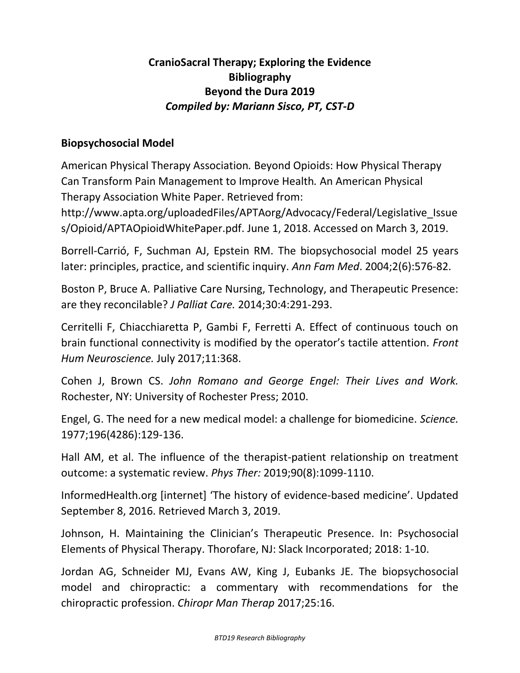# **CranioSacral Therapy; Exploring the Evidence Bibliography Beyond the Dura 2019** *Compiled by: Mariann Sisco, PT, CST-D*

#### **Biopsychosocial Model**

American Physical Therapy Association*.* Beyond Opioids: How Physical Therapy Can Transform Pain Management to Improve Health*.* An American Physical Therapy Association White Paper. Retrieved from:

http://www.apta.org/uploadedFiles/APTAorg/Advocacy/Federal/Legislative\_Issue s/Opioid/APTAOpioidWhitePaper.pdf. June 1, 2018. Accessed on March 3, 2019.

Borrell-Carrió, F, Suchman AJ, Epstein RM. The biopsychosocial model 25 years later: principles, practice, and scientific inquiry. *Ann Fam Med*. 2004;2(6):576-82.

Boston P, Bruce A. Palliative Care Nursing, Technology, and Therapeutic Presence: are they reconcilable? *J Palliat Care.* 2014;30:4:291-293.

Cerritelli F, Chiacchiaretta P, Gambi F, Ferretti A. Effect of continuous touch on brain functional connectivity is modified by the operator's tactile attention. *Front Hum Neuroscience.* July 2017;11:368.

Cohen J, Brown CS. *John Romano and George Engel: Their Lives and Work.* Rochester, NY: University of Rochester Press; 2010.

Engel, G. The need for a new medical model: a challenge for biomedicine. *Science.* 1977;196(4286):129-136.

Hall AM, et al. The influence of the therapist-patient relationship on treatment outcome: a systematic review. *Phys Ther:* 2019;90(8):1099-1110.

InformedHealth.org [internet] 'The history of evidence-based medicine'. Updated September 8, 2016. Retrieved March 3, 2019.

Johnson, H. Maintaining the Clinician's Therapeutic Presence. In: Psychosocial Elements of Physical Therapy. Thorofare, NJ: Slack Incorporated; 2018: 1-10.

Jordan AG, Schneider MJ, Evans AW, King J, Eubanks JE. The biopsychosocial model and chiropractic: a commentary with recommendations for the chiropractic profession. *Chiropr Man Therap* 2017;25:16.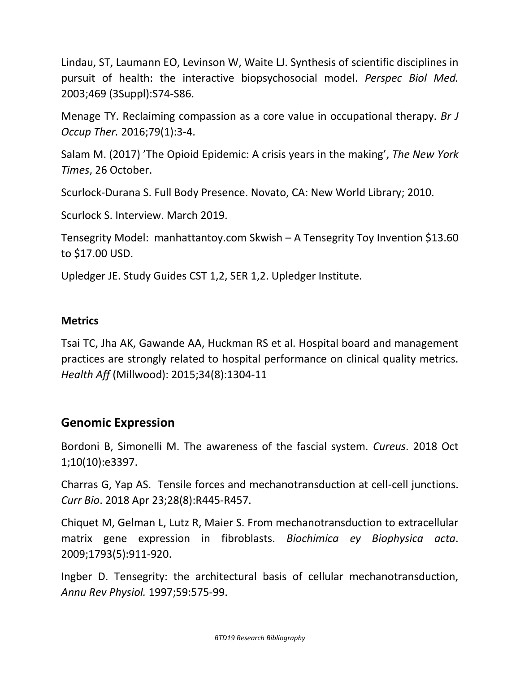Lindau, ST, Laumann EO, Levinson W, Waite LJ. Synthesis of scientific disciplines in pursuit of health: the interactive biopsychosocial model. *Perspec Biol Med.* 2003;469 (3Suppl):S74-S86.

Menage TY. Reclaiming compassion as a core value in occupational therapy. *Br J Occup Ther.* 2016;79(1):3-4.

Salam M. (2017) 'The Opioid Epidemic: A crisis years in the making', *The New York Times*, 26 October.

Scurlock-Durana S. Full Body Presence. Novato, CA: New World Library; 2010.

Scurlock S. Interview. March 2019.

Tensegrity Model: manhattantoy.com Skwish – A Tensegrity Toy Invention \$13.60 to \$17.00 USD.

Upledger JE. Study Guides CST 1,2, SER 1,2. Upledger Institute.

#### **Metrics**

Tsai TC, Jha AK, Gawande AA, Huckman RS et al. Hospital board and management practices are strongly related to hospital performance on clinical quality metrics. *Health Aff* (Millwood): 2015;34(8):1304-11

### **Genomic Expression**

Bordoni B, Simonelli M. The awareness of the fascial system. *Cureus*. 2018 Oct 1;10(10):e3397.

Charras G, Yap AS. Tensile forces and mechanotransduction at cell-cell junctions. *Curr Bio*. 2018 Apr 23;28(8):R445-R457.

Chiquet M, Gelman L, Lutz R, Maier S. From mechanotransduction to extracellular matrix gene expression in fibroblasts. *Biochimica ey Biophysica acta*. 2009;1793(5):911-920.

Ingber D. Tensegrity: the architectural basis of cellular mechanotransduction, *Annu Rev Physiol.* 1997;59:575-99.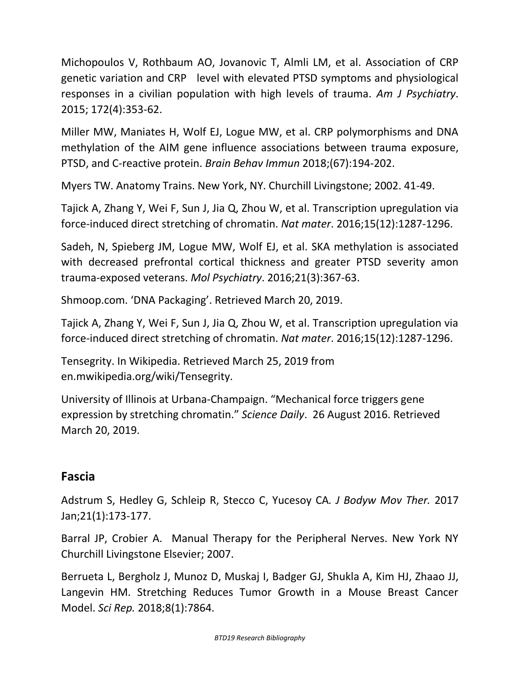Michopoulos V, Rothbaum AO, Jovanovic T, Almli LM, et al. Association of CRP genetic variation and CRP level with elevated PTSD symptoms and physiological responses in a civilian population with high levels of trauma. *Am J Psychiatry*. 2015; 172(4):353-62.

Miller MW, Maniates H, Wolf EJ, Logue MW, et al. CRP polymorphisms and DNA methylation of the AIM gene influence associations between trauma exposure, PTSD, and C-reactive protein. *Brain Behav Immun* 2018;(67):194-202.

Myers TW. Anatomy Trains. New York, NY. Churchill Livingstone; 2002. 41-49.

Tajick A, Zhang Y, Wei F, Sun J, Jia Q, Zhou W, et al. Transcription upregulation via force-induced direct stretching of chromatin. *Nat mater*. 2016;15(12):1287-1296.

Sadeh, N, Spieberg JM, Logue MW, Wolf EJ, et al. SKA methylation is associated with decreased prefrontal cortical thickness and greater PTSD severity amon trauma-exposed veterans. *Mol Psychiatry*. 2016;21(3):367-63.

Shmoop.com. 'DNA Packaging'. Retrieved March 20, 2019.

Tajick A, Zhang Y, Wei F, Sun J, Jia Q, Zhou W, et al. Transcription upregulation via force-induced direct stretching of chromatin. *Nat mater*. 2016;15(12):1287-1296.

Tensegrity. In Wikipedia. Retrieved March 25, 2019 from en.mwikipedia.org/wiki/Tensegrity.

University of Illinois at Urbana-Champaign. "Mechanical force triggers gene expression by stretching chromatin." *Science Daily*. 26 August 2016. Retrieved March 20, 2019.

# **Fascia**

Adstrum S, Hedley G, Schleip R, Stecco C, Yucesoy CA*. J Bodyw Mov Ther.* 2017 Jan;21(1):173-177.

Barral JP, Crobier A. Manual Therapy for the Peripheral Nerves. New York NY Churchill Livingstone Elsevier; 2007.

Berrueta L, Bergholz J, Munoz D, Muskaj I, Badger GJ, Shukla A, Kim HJ, Zhaao JJ, Langevin HM. Stretching Reduces Tumor Growth in a Mouse Breast Cancer Model. *Sci Rep.* 2018;8(1):7864.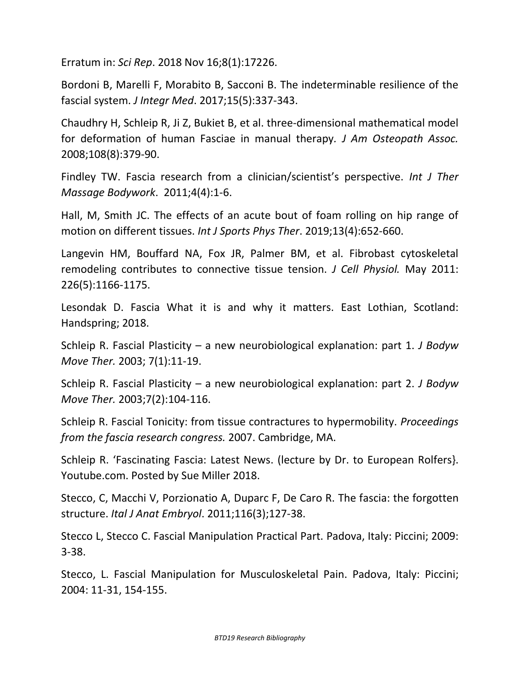Erratum in: *Sci Rep*. 2018 Nov 16;8(1):17226.

Bordoni B, Marelli F, Morabito B, Sacconi B. The indeterminable resilience of the fascial system. *J Integr Med*. 2017;15(5):337-343.

Chaudhry H, Schleip R, Ji Z, Bukiet B, et al. three-dimensional mathematical model for deformation of human Fasciae in manual therapy*. J Am Osteopath Assoc.* 2008;108(8):379-90.

Findley TW. Fascia research from a clinician/scientist's perspective. *Int J Ther Massage Bodywork*. 2011;4(4):1-6.

Hall, M, Smith JC. The effects of an acute bout of foam rolling on hip range of motion on different tissues. *Int J Sports Phys Ther*. 2019;13(4):652-660.

Langevin HM, Bouffard NA, Fox JR, Palmer BM, et al. Fibrobast cytoskeletal remodeling contributes to connective tissue tension. *J Cell Physiol.* May 2011: 226(5):1166-1175.

Lesondak D. Fascia What it is and why it matters. East Lothian, Scotland: Handspring; 2018.

Schleip R. Fascial Plasticity – a new neurobiological explanation: part 1. *J Bodyw Move Ther.* 2003; 7(1):11-19.

Schleip R. Fascial Plasticity – a new neurobiological explanation: part 2. *J Bodyw Move Ther.* 2003;7(2):104-116.

Schleip R. Fascial Tonicity: from tissue contractures to hypermobility. *Proceedings from the fascia research congress.* 2007. Cambridge, MA.

Schleip R. 'Fascinating Fascia: Latest News. (lecture by Dr. to European Rolfers}. Youtube.com. Posted by Sue Miller 2018.

Stecco, C, Macchi V, Porzionatio A, Duparc F, De Caro R. The fascia: the forgotten structure. *Ital J Anat Embryol*. 2011;116(3);127-38.

Stecco L, Stecco C. Fascial Manipulation Practical Part. Padova, Italy: Piccini; 2009: 3-38.

Stecco, L. Fascial Manipulation for Musculoskeletal Pain. Padova, Italy: Piccini; 2004: 11-31, 154-155.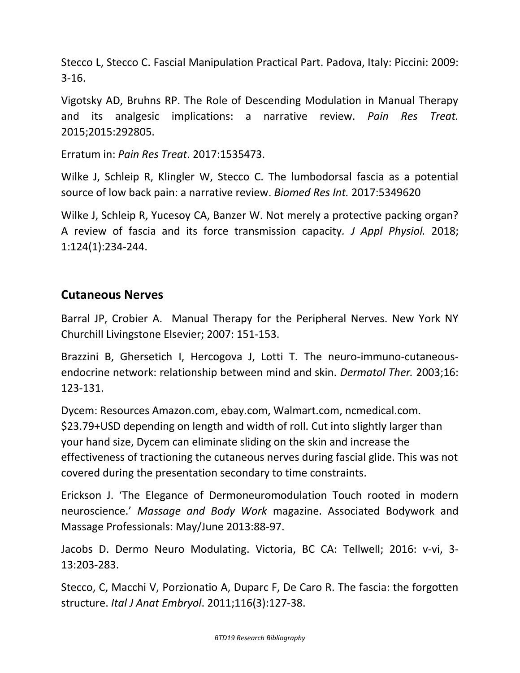Stecco L, Stecco C. Fascial Manipulation Practical Part. Padova, Italy: Piccini: 2009: 3-16.

Vigotsky AD, Bruhns RP. The Role of Descending Modulation in Manual Therapy and its analgesic implications: a narrative review. *Pain Res Treat.* 2015;2015:292805.

Erratum in: *Pain Res Treat*. 2017:1535473.

Wilke J, Schleip R, Klingler W, Stecco C. The lumbodorsal fascia as a potential source of low back pain: a narrative review. *Biomed Res Int.* 2017:5349620

Wilke J, Schleip R, Yucesoy CA, Banzer W. Not merely a protective packing organ? A review of fascia and its force transmission capacity*. J Appl Physiol.* 2018; 1:124(1):234-244.

### **Cutaneous Nerves**

Barral JP, Crobier A. Manual Therapy for the Peripheral Nerves. New York NY Churchill Livingstone Elsevier; 2007: 151-153.

Brazzini B, Ghersetich I, Hercogova J, Lotti T. The neuro-immuno-cutaneousendocrine network: relationship between mind and skin. *Dermatol Ther.* 2003;16: 123-131.

Dycem: Resources Amazon.com, ebay.com, Walmart.com, ncmedical.com. \$23.79+USD depending on length and width of roll. Cut into slightly larger than your hand size, Dycem can eliminate sliding on the skin and increase the effectiveness of tractioning the cutaneous nerves during fascial glide. This was not covered during the presentation secondary to time constraints.

Erickson J. 'The Elegance of Dermoneuromodulation Touch rooted in modern neuroscience.' *Massage and Body Work* magazine. Associated Bodywork and Massage Professionals: May/June 2013:88-97.

Jacobs D. Dermo Neuro Modulating. Victoria, BC CA: Tellwell; 2016: v-vi, 3- 13:203-283.

Stecco, C, Macchi V, Porzionatio A, Duparc F, De Caro R. The fascia: the forgotten structure. *Ital J Anat Embryol*. 2011;116(3):127-38.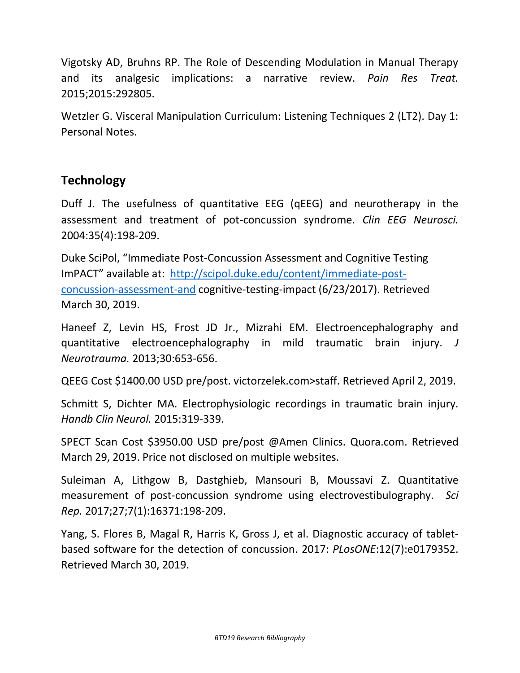Vigotsky AD, Bruhns RP. The Role of Descending Modulation in Manual Therapy and its analgesic implications: a narrative review. *Pain Res Treat.* 2015;2015:292805.

Wetzler G. Visceral Manipulation Curriculum: Listening Techniques 2 (LT2). Day 1: Personal Notes.

## **Technology**

Duff J. The usefulness of quantitative EEG (qEEG) and neurotherapy in the assessment and treatment of pot-concussion syndrome. *Clin EEG Neurosci.* 2004:35(4):198-209.

Duke SciPol, "Immediate Post-Concussion Assessment and Cognitive Testing ImPACT" available at: [http://scipol.duke.edu/content/immediate-post](http://scipol.duke.edu/content/immediate-post-concussion-assessment-and)[concussion-assessment-and](http://scipol.duke.edu/content/immediate-post-concussion-assessment-and) cognitive-testing-impact (6/23/2017). Retrieved March 30, 2019.

Haneef Z, Levin HS, Frost JD Jr., Mizrahi EM. Electroencephalography and quantitative electroencephalography in mild traumatic brain injury. *J Neurotrauma.* 2013;30:653-656.

QEEG Cost \$1400.00 USD pre/post. victorzelek.com>staff. Retrieved April 2, 2019.

Schmitt S, Dichter MA. Electrophysiologic recordings in traumatic brain injury. *Handb Clin Neurol.* 2015:319-339.

SPECT Scan Cost \$3950.00 USD pre/post @Amen Clinics. Quora.com. Retrieved March 29, 2019. Price not disclosed on multiple websites.

Suleiman A, Lithgow B, Dastghieb, Mansouri B, Moussavi Z. Quantitative measurement of post-concussion syndrome using electrovestibulography. *Sci Rep.* 2017;27;7(1):16371:198-209.

Yang, S. Flores B, Magal R, Harris K, Gross J, et al. Diagnostic accuracy of tabletbased software for the detection of concussion. 2017: *PLosONE*:12(7):e0179352. Retrieved March 30, 2019.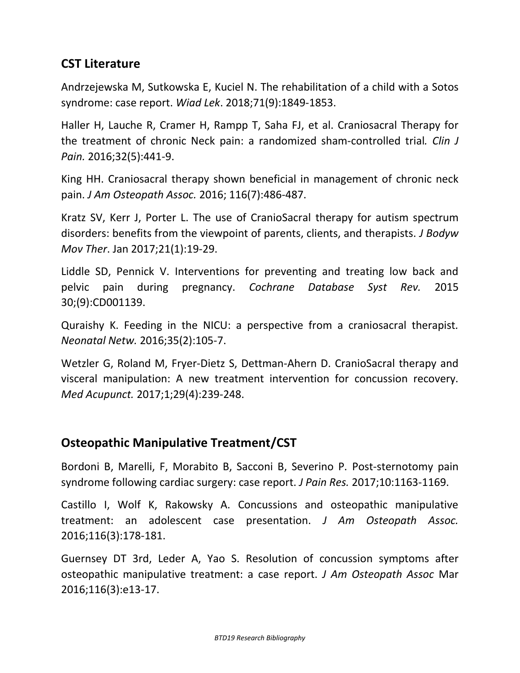# **CST Literature**

Andrzejewska M, Sutkowska E, Kuciel N. The rehabilitation of a child with a Sotos syndrome: case report. *Wiad Lek*. 2018;71(9):1849-1853.

Haller H, Lauche R, Cramer H, Rampp T, Saha FJ, et al. Craniosacral Therapy for the treatment of chronic Neck pain: a randomized sham-controlled trial*. Clin J Pain.* 2016;32(5):441-9.

King HH. Craniosacral therapy shown beneficial in management of chronic neck pain. *J Am Osteopath Assoc.* 2016; 116(7):486-487.

Kratz SV, Kerr J, Porter L. The use of CranioSacral therapy for autism spectrum disorders: benefits from the viewpoint of parents, clients, and therapists. *J Bodyw Mov Ther*. Jan 2017;21(1):19-29.

Liddle SD, Pennick V. Interventions for preventing and treating low back and pelvic pain during pregnancy. *Cochrane Database Syst Rev.* 2015 30;(9):CD001139.

Quraishy K. Feeding in the NICU: a perspective from a craniosacral therapist*. Neonatal Netw.* 2016;35(2):105-7.

Wetzler G, Roland M, Fryer-Dietz S, Dettman-Ahern D. CranioSacral therapy and visceral manipulation: A new treatment intervention for concussion recovery. *Med Acupunct.* 2017;1;29(4):239-248.

# **Osteopathic Manipulative Treatment/CST**

Bordoni B, Marelli, F, Morabito B, Sacconi B, Severino P. Post-sternotomy pain syndrome following cardiac surgery: case report. *J Pain Res.* 2017;10:1163-1169.

Castillo I, Wolf K, Rakowsky A. Concussions and osteopathic manipulative treatment: an adolescent case presentation. *J Am Osteopath Assoc.* 2016;116(3):178-181.

Guernsey DT 3rd, Leder A, Yao S. Resolution of concussion symptoms after osteopathic manipulative treatment: a case report. *J Am Osteopath Assoc* Mar 2016;116(3):e13-17.